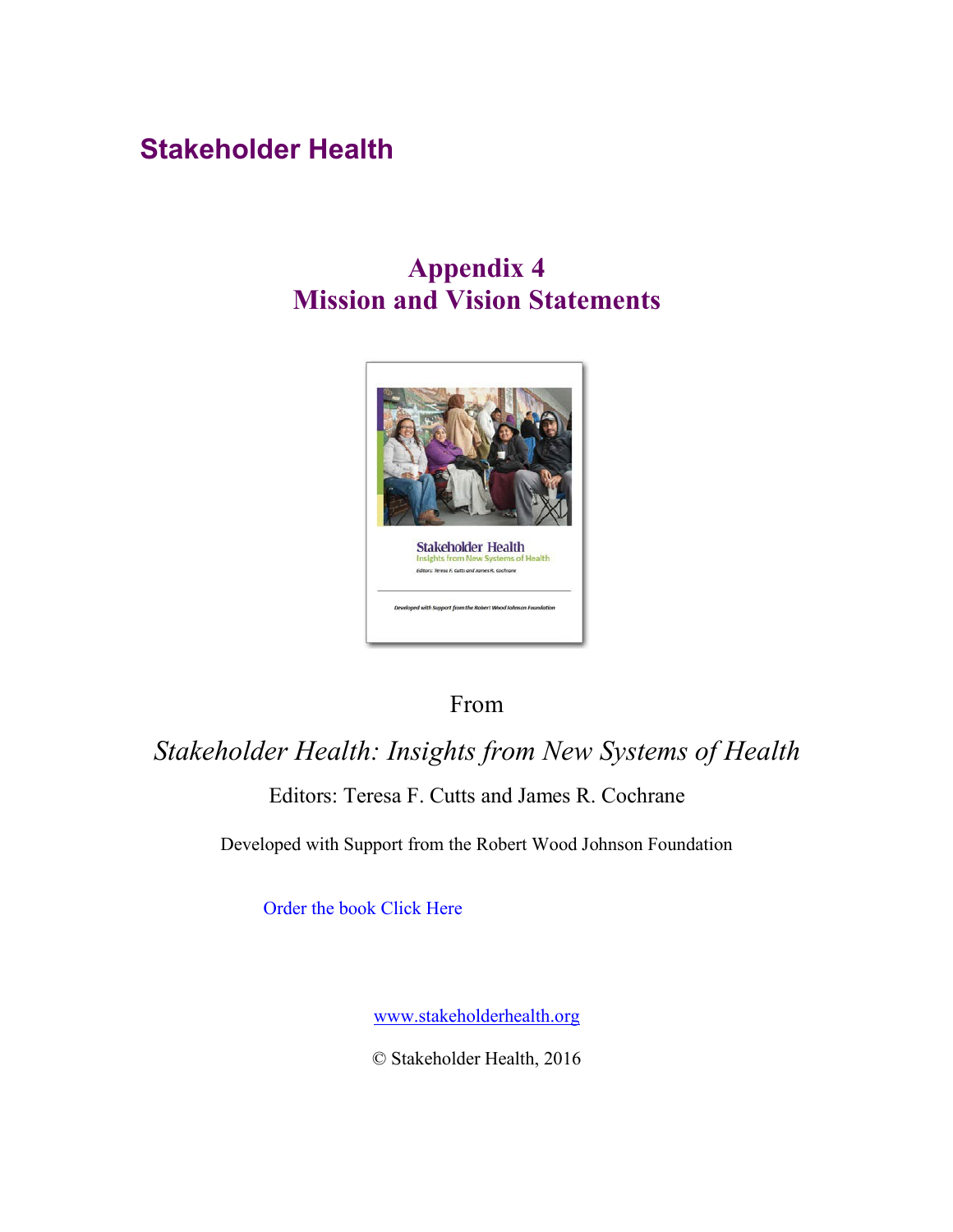# **Stakeholder Health**

# **Appendix 4 Mission and Vision Statements**



# From

# *Stakeholder Health: Insights from New Systems of Health* Editors: Teresa F. Cutts and James R. Cochrane

Developed with Support from the Robert Wood Johnson Foundation

Order the [book Click Here](https://www.amazon.com/Stakeholder-Health-Insights-New-Systems/dp/069270728X?ie=UTF8&keywords=%26%2334%3Bstakeholder%20health%26%2334%3B&qid=1464881294&ref_=sr_1_2&s=books&sr=1-2)

[www.stakeholderhealth.org](http://www.stakeholderhealth.org/)

© Stakeholder Health, 2016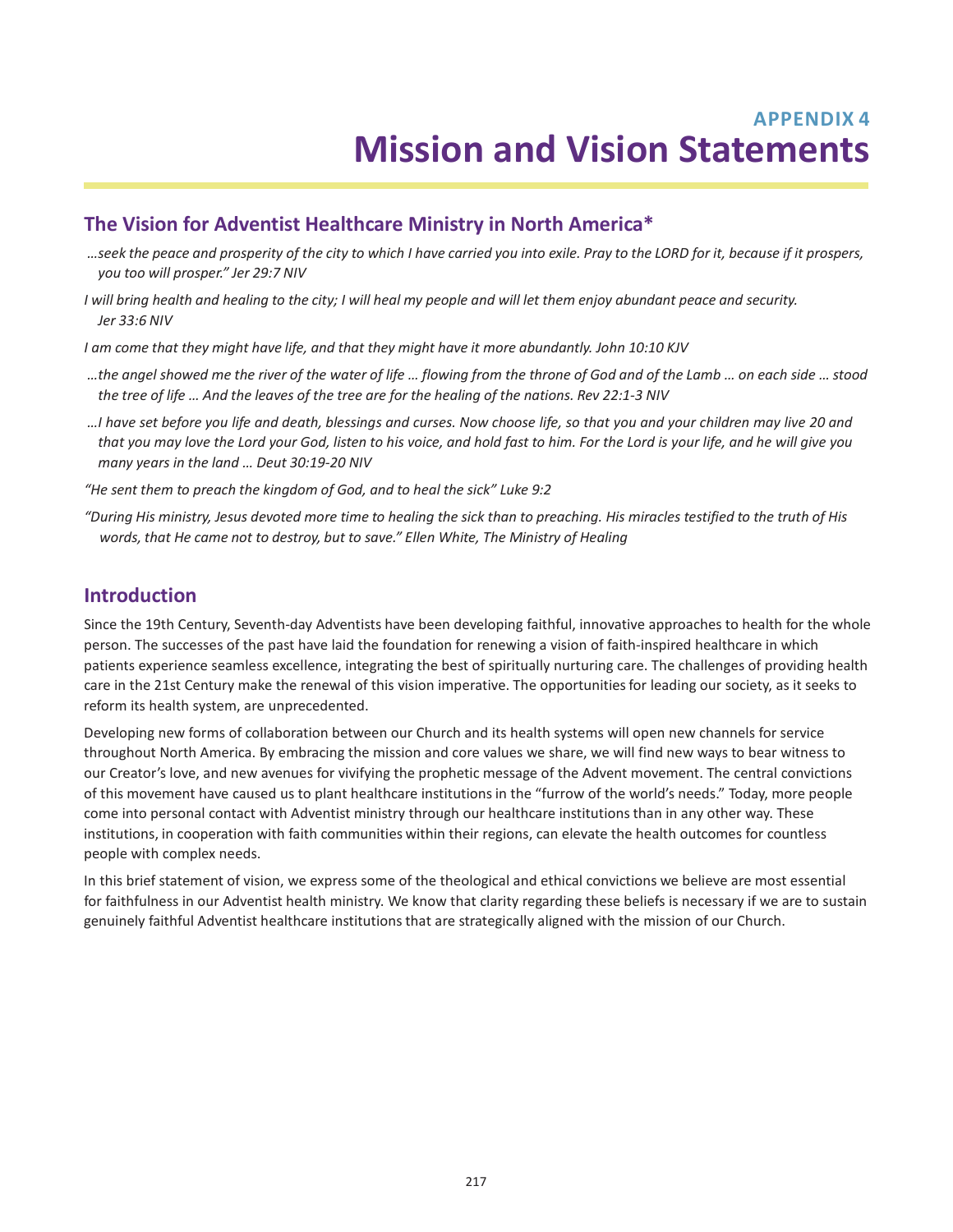### **The Vision for Adventist Healthcare Ministry in North America\***

- ...seek the peace and prosperity of the city to which I have carried you into exile. Pray to the LORD for it, because if it prospers, *you too will prosper." Jer 29:7 NIV*
- I will bring health and healing to the city; I will heal my people and will let them enjoy abundant peace and security. *Jer 33:6 NIV*
- I am come that they might have life, and that they might have it more abundantly. John 10:10 KJV
- ...the angel showed me the river of the water of life ... flowing from the throne of God and of the Lamb ... on each side ... stood the tree of life ... And the leaves of the tree are for the healing of the nations. Rev 22:1-3 NIV
- ...I have set before you life and death, blessings and curses. Now choose life, so that you and your children may live 20 and that you may love the Lord your God, listen to his voice, and hold fast to him. For the Lord is your life, and he will give you *many years in the land … Deut 30:19-20 NIV*
- *"He sent them to preach the kingdom of God, and to heal the sick" Luke 9:2*
- "During His ministry, Jesus devoted more time to healing the sick than to preaching. His miracles testified to the truth of His *words, that He came not to destroy, but to save." Ellen White, The Ministry of Healing*

### **Introduction**

Since the 19th Century, Seventh-day Adventists have been developing faithful, innovative approaches to health for the whole person. The successes of the past have laid the foundation for renewing a vision of faith-inspired healthcare in which patients experience seamless excellence, integrating the best of spiritually nurturing care. The challenges of providing health care in the 21st Century make the renewal of this vision imperative. The opportunitiesfor leading our society, as it seeks to reform its health system, are unprecedented.

Developing new forms of collaboration between our Church and its health systems will open new channels for service throughout North America. By embracing the mission and core values we share, we will find new ways to bear witness to our Creator's love, and new avenues for vivifying the prophetic message of the Advent movement. The central convictions of this movement have caused us to plant healthcare institutionsin the "furrow of the world's needs." Today, more people come into personal contact with Adventist ministry through our healthcare institutionsthan in any other way. These institutions, in cooperation with faith communities within their regions, can elevate the health outcomes for countless people with complex needs.

In this brief statement of vision, we express some of the theological and ethical convictions we believe are most essential for faithfulness in our Adventist health ministry. We know that clarity regarding these beliefs is necessary if we are to sustain genuinely faithful Adventist healthcare institutions that are strategically aligned with the mission of our Church.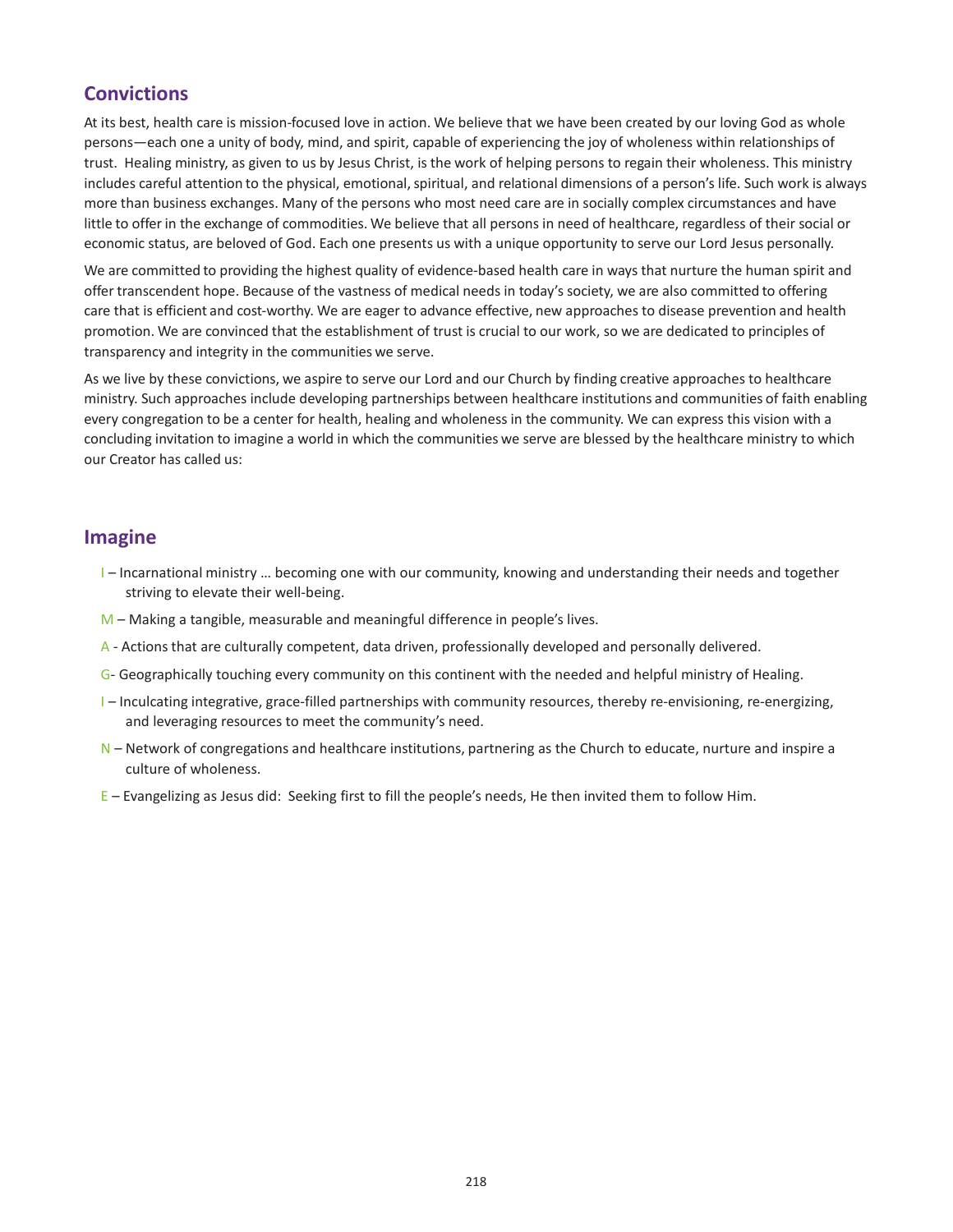### **Convictions**

At its best, health care is mission-focused love in action. We believe that we have been created by our loving God as whole persons—each one a unity of body, mind, and spirit, capable of experiencing the joy of wholeness within relationships of trust. Healing ministry, as given to us by Jesus Christ, is the work of helping persons to regain their wholeness. This ministry includes careful attention to the physical, emotional, spiritual, and relational dimensions of a person's life. Such work is always more than business exchanges. Many of the persons who most need care are in socially complex circumstances and have little to offer in the exchange of commodities. We believe that all persons in need of healthcare, regardless of their social or economic status, are beloved of God. Each one presents us with a unique opportunity to serve our Lord Jesus personally.

We are committed to providing the highest quality of evidence-based health care in ways that nurture the human spirit and offer transcendent hope. Because of the vastness of medical needs in today's society, we are also committed to offering care that is efficient and cost-worthy. We are eager to advance effective, new approaches to disease prevention and health promotion. We are convinced that the establishment of trust is crucial to our work, so we are dedicated to principles of transparency and integrity in the communities we serve.

As we live by these convictions, we aspire to serve our Lord and our Church by finding creative approaches to healthcare ministry. Such approaches include developing partnerships between healthcare institutions and communities of faith enabling every congregation to be a center for health, healing and wholeness in the community. We can express this vision with a concluding invitation to imagine a world in which the communities we serve are blessed by the healthcare ministry to which our Creator has called us:

### **Imagine**

- I Incarnational ministry … becoming one with our community, knowing and understanding their needs and together striving to elevate their well-being.
- $M$  Making a tangible, measurable and meaningful difference in people's lives.
- $A$  Actions that are culturally competent, data driven, professionally developed and personally delivered.
- G- Geographically touching every community on this continent with the needed and helpful ministry of Healing.
- I Inculcating integrative, grace-filled partnerships with community resources, thereby re-envisioning, re-energizing, and leveraging resources to meet the community's need.
- N Network of congregations and healthcare institutions, partnering as the Church to educate, nurture and inspire a culture of wholeness.
- $E$  Evangelizing as Jesus did: Seeking first to fill the people's needs, He then invited them to follow Him.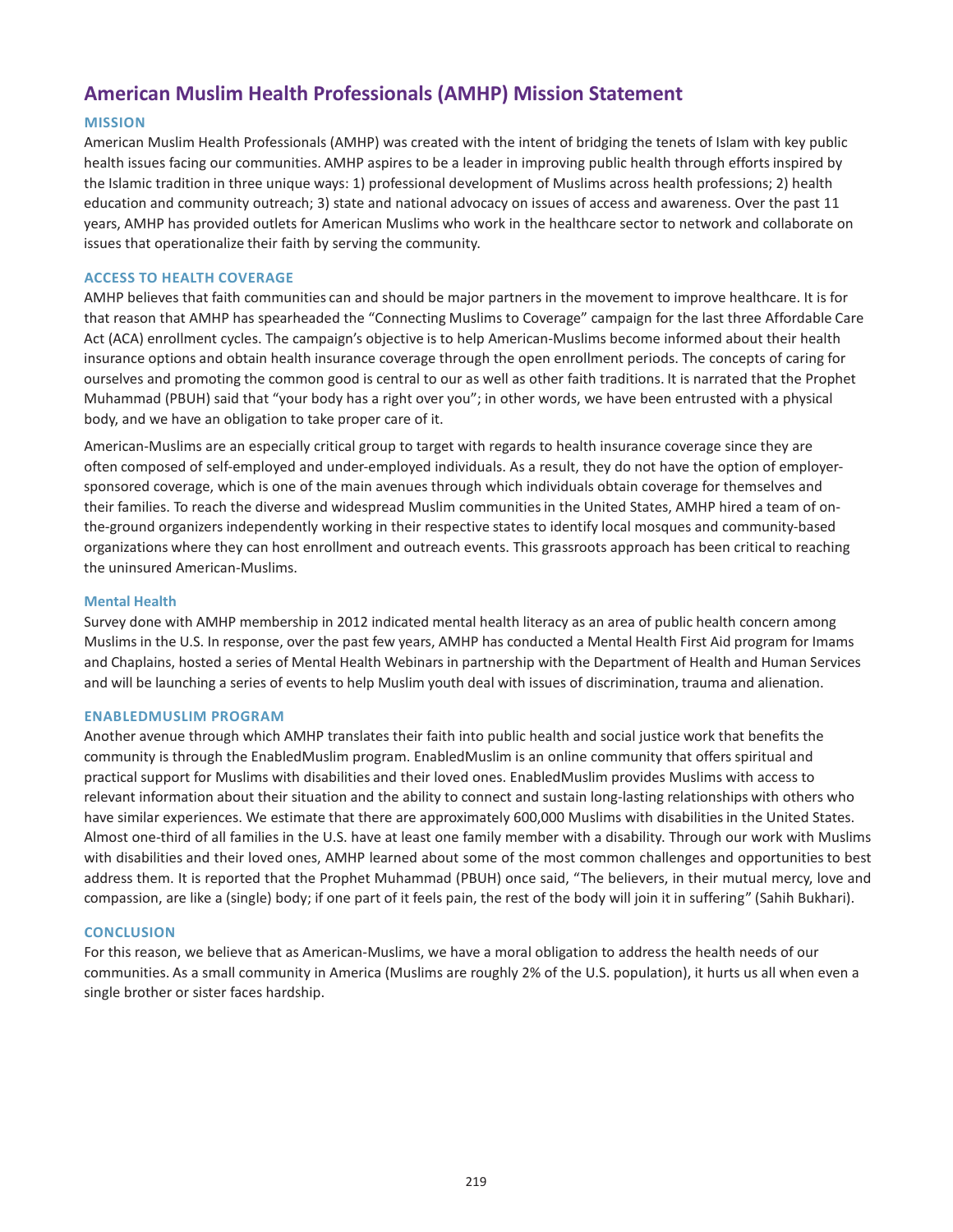## **American Muslim Health Professionals (AMHP) Mission Statement**

#### **MISSION**

American Muslim Health Professionals (AMHP) was created with the intent of bridging the tenets of Islam with key public health issues facing our communities. AMHP aspires to be a leader in improving public health through efforts inspired by the Islamic tradition in three unique ways: 1) professional development of Muslims across health professions; 2) health education and community outreach; 3) state and national advocacy on issues of access and awareness. Over the past 11 years, AMHP has provided outlets for American Muslims who work in the healthcare sector to network and collaborate on issues that operationalize their faith by serving the community.

#### **ACCESS TO HEALTH COVERAGE**

AMHP believes that faith communities can and should be major partners in the movement to improve healthcare. It is for that reason that AMHP has spearheaded the "Connecting Muslims to Coverage" campaign for the last three Affordable Care Act (ACA) enrollment cycles. The campaign's objective is to help American-Muslims become informed about their health insurance options and obtain health insurance coverage through the open enrollment periods. The concepts of caring for ourselves and promoting the common good is central to our as well as other faith traditions. It is narrated that the Prophet Muhammad (PBUH) said that "your body has a right over you"; in other words, we have been entrusted with a physical body, and we have an obligation to take proper care of it.

American-Muslims are an especially critical group to target with regards to health insurance coverage since they are often composed of self-employed and under-employed individuals. As a result, they do not have the option of employersponsored coverage, which is one of the main avenues through which individuals obtain coverage for themselves and their families. To reach the diverse and widespread Muslim communitiesin the United States, AMHP hired a team of onthe-ground organizers independently working in their respective states to identify local mosques and community-based organizations where they can host enrollment and outreach events. This grassroots approach has been critical to reaching the uninsured American-Muslims.

#### **Mental Health**

Survey done with AMHP membership in 2012 indicated mental health literacy as an area of public health concern among Muslims in the U.S. In response, over the past few years, AMHP has conducted a Mental Health First Aid program for Imams and Chaplains, hosted a series of Mental Health Webinars in partnership with the Department of Health and Human Services and will be launching a series of events to help Muslim youth deal with issues of discrimination, trauma and alienation.

#### **ENABLEDMUSLIM PROGRAM**

Another avenue through which AMHP translates their faith into public health and social justice work that benefits the community is through the EnabledMuslim program. EnabledMuslim is an online community that offers spiritual and practical support for Muslims with disabilities and their loved ones. EnabledMuslim provides Muslims with access to relevant information about their situation and the ability to connect and sustain long-lasting relationships with others who have similar experiences. We estimate that there are approximately 600,000 Muslims with disabilities in the United States. Almost one-third of all families in the U.S. have at least one family member with a disability. Through our work with Muslims with disabilities and their loved ones, AMHP learned about some of the most common challenges and opportunities to best address them. It is reported that the Prophet Muhammad (PBUH) once said, "The believers, in their mutual mercy, love and compassion, are like a (single) body; if one part of it feels pain, the rest of the body will join it in suffering" (Sahih Bukhari).

#### **CONCLUSION**

For this reason, we believe that as American-Muslims, we have a moral obligation to address the health needs of our communities. As a small community in America (Muslims are roughly 2% of the U.S. population), it hurts us all when even a single brother or sister faces hardship.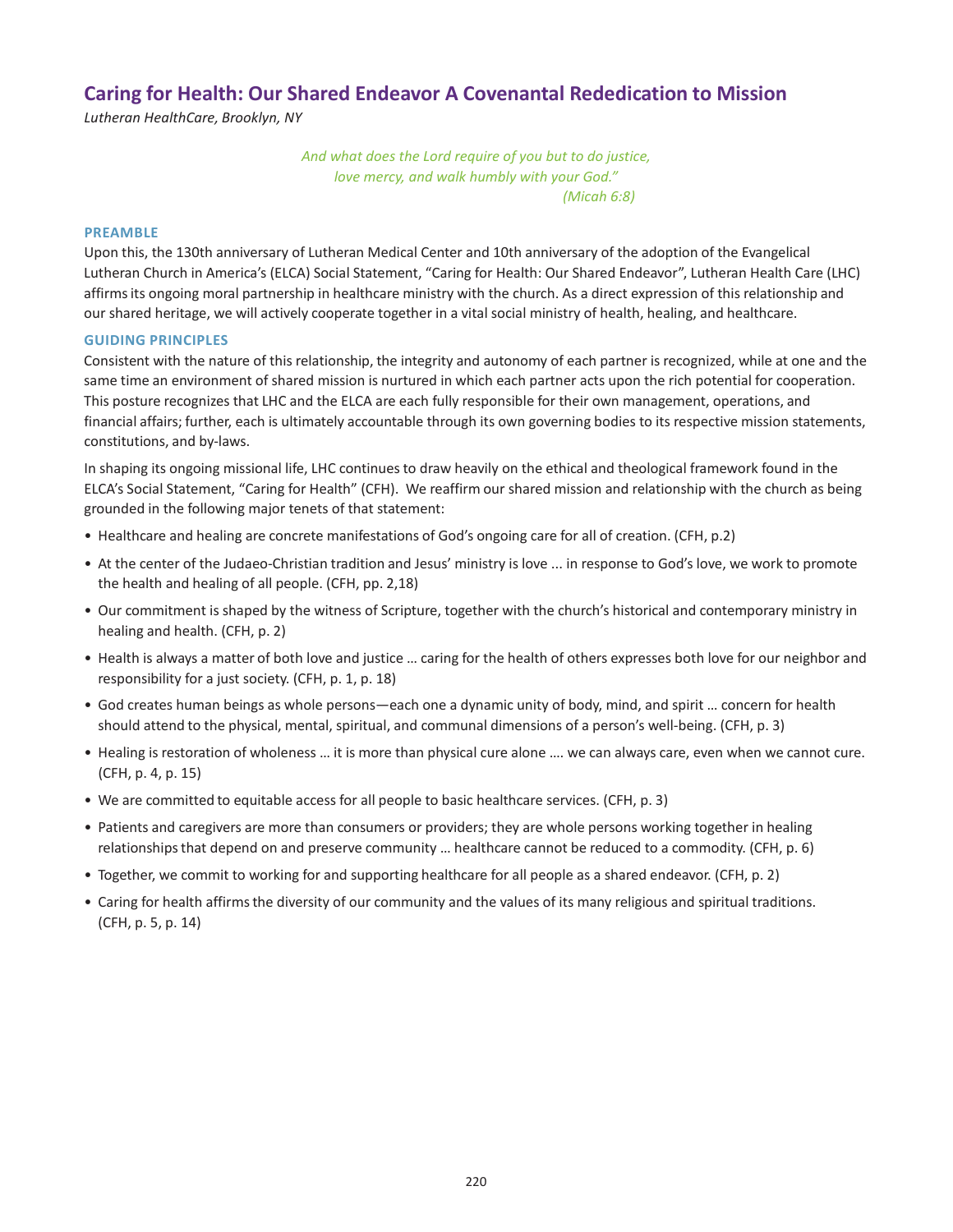### **Caring for Health: Our Shared Endeavor A Covenantal Rededication to Mission**

*Lutheran HealthCare, Brooklyn, NY*

*And what does the Lord require of you but to do justice, love mercy, and walk humbly with your God." (Micah 6:8)*

#### **PREAMBLE**

Upon this, the 130th anniversary of Lutheran Medical Center and 10th anniversary of the adoption of the Evangelical Lutheran Church in America's (ELCA) Social Statement, "Caring for Health: Our Shared Endeavor", Lutheran Health Care (LHC) affirmsits ongoing moral partnership in healthcare ministry with the church. As a direct expression of this relationship and our shared heritage, we will actively cooperate together in a vital social ministry of health, healing, and healthcare.

#### **GUIDING PRINCIPLES**

Consistent with the nature of this relationship, the integrity and autonomy of each partner is recognized, while at one and the same time an environment of shared mission is nurtured in which each partner acts upon the rich potential for cooperation. This posture recognizes that LHC and the ELCA are each fully responsible for their own management, operations, and financial affairs; further, each is ultimately accountable through its own governing bodies to its respective mission statements, constitutions, and by-laws.

In shaping its ongoing missional life, LHC continues to draw heavily on the ethical and theological framework found in the ELCA's Social Statement, "Caring for Health" (CFH). We reaffirm our shared mission and relationship with the church as being grounded in the following major tenets of that statement:

- Healthcare and healing are concrete manifestations of God's ongoing care for all of creation. (CFH, p.2)
- At the center of the Judaeo-Christian tradition and Jesus' ministry is love ... in response to God's love, we work to promote the health and healing of all people. (CFH, pp. 2,18)
- Our commitment is shaped by the witness of Scripture, together with the church's historical and contemporary ministry in healing and health. (CFH, p. 2)
- Health is always a matter of both love and justice … caring for the health of others expresses both love for our neighbor and responsibility for a just society. (CFH, p. 1, p. 18)
- God creates human beings as whole persons—each one a dynamic unity of body, mind, and spirit … concern for health should attend to the physical, mental, spiritual, and communal dimensions of a person's well-being. (CFH, p. 3)
- Healing is restoration of wholeness … it is more than physical cure alone …. we can always care, even when we cannot cure. (CFH, p. 4, p. 15)
- We are committed to equitable access for all people to basic healthcare services. (CFH, p. 3)
- Patients and caregivers are more than consumers or providers; they are whole persons working together in healing relationships that depend on and preserve community ... healthcare cannot be reduced to a commodity. (CFH, p. 6)
- Together, we commit to working for and supporting healthcare for all people as a shared endeavor. (CFH, p. 2)
- Caring for health affirmsthe diversity of our community and the values of its many religious and spiritual traditions. (CFH, p. 5, p. 14)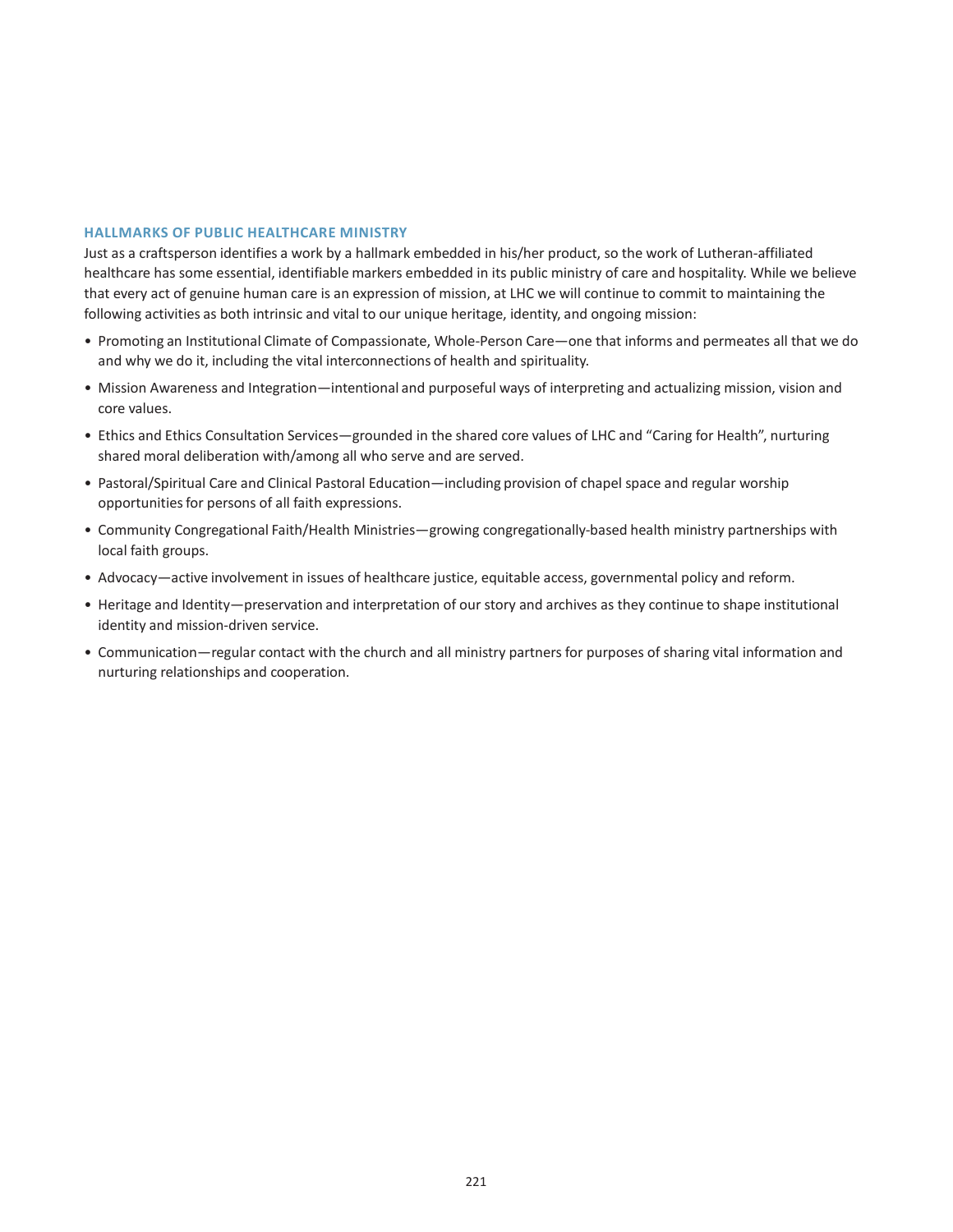#### **HALLMARKS OF PUBLIC HEALTHCARE MINISTRY**

Just as a craftsperson identifies a work by a hallmark embedded in his/her product, so the work of Lutheran-affiliated healthcare has some essential, identifiable markers embedded in its public ministry of care and hospitality. While we believe that every act of genuine human care is an expression of mission, at LHC we will continue to commit to maintaining the following activities as both intrinsic and vital to our unique heritage, identity, and ongoing mission:

- Promoting an Institutional Climate of Compassionate, Whole-Person Care—one that informs and permeates all that we do and why we do it, including the vital interconnections of health and spirituality.
- Mission Awareness and Integration—intentional and purposeful ways of interpreting and actualizing mission, vision and core values.
- Ethics and Ethics Consultation Services—grounded in the shared core values of LHC and "Caring for Health", nurturing shared moral deliberation with/among all who serve and are served.
- Pastoral/Spiritual Care and Clinical Pastoral Education—including provision of chapel space and regular worship opportunities for persons of all faith expressions.
- Community Congregational Faith/Health Ministries—growing congregationally-based health ministry partnerships with local faith groups.
- Advocacy—active involvement in issues of healthcare justice, equitable access, governmental policy and reform.
- Heritage and Identity—preservation and interpretation of our story and archives as they continue to shape institutional identity and mission-driven service.
- Communication—regular contact with the church and all ministry partners for purposes of sharing vital information and nurturing relationships and cooperation.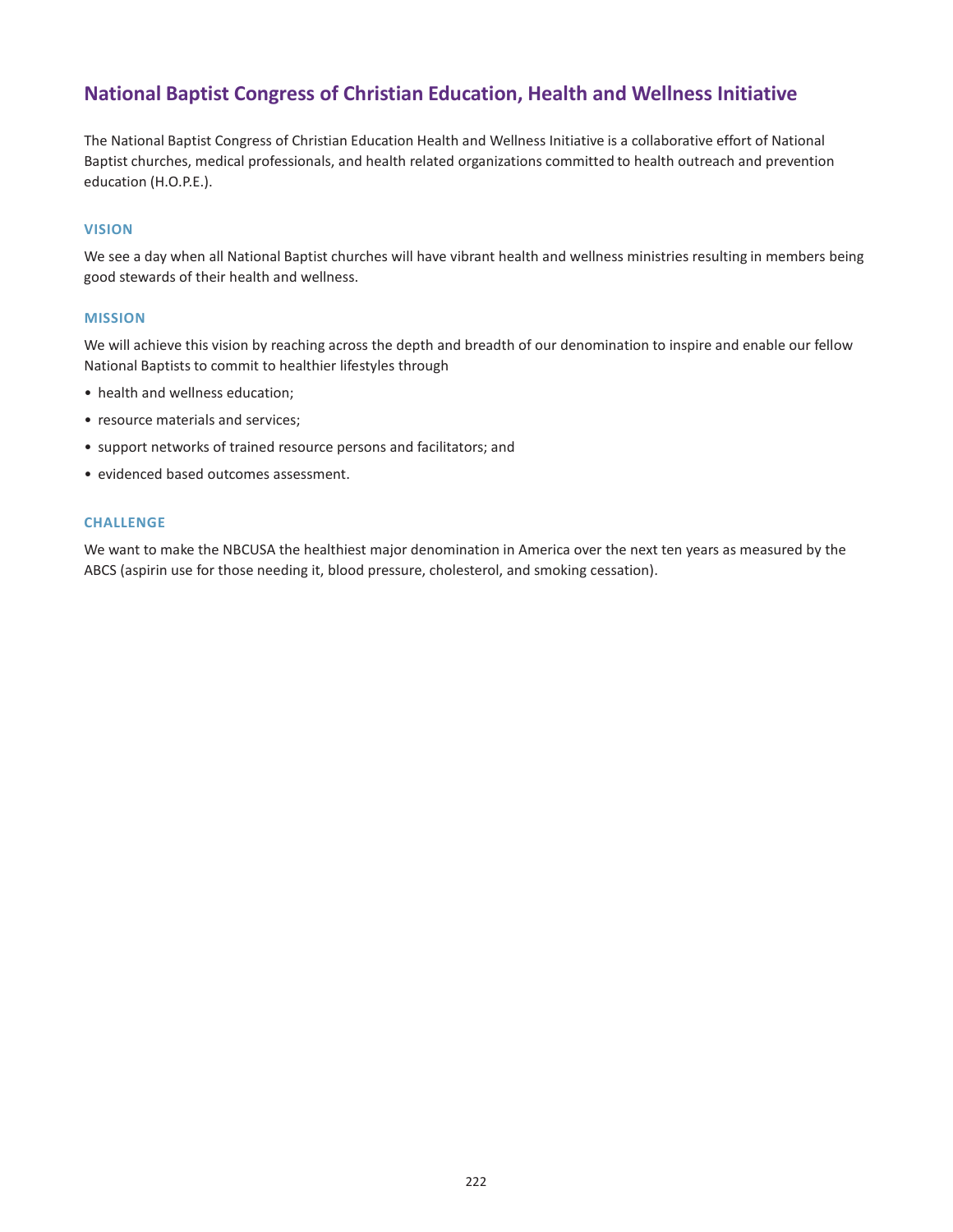### **National Baptist Congress of Christian Education, Health and Wellness Initiative**

The National Baptist Congress of Christian Education Health and Wellness Initiative is a collaborative effort of National Baptist churches, medical professionals, and health related organizations committed to health outreach and prevention education (H.O.P.E.).

#### **VISION**

We see a day when all National Baptist churches will have vibrant health and wellness ministries resulting in members being good stewards of their health and wellness.

#### **MISSION**

We will achieve this vision by reaching across the depth and breadth of our denomination to inspire and enable our fellow National Baptists to commit to healthier lifestyles through

- health and wellness education;
- resource materials and services;
- support networks of trained resource persons and facilitators; and
- evidenced based outcomes assessment.

#### **CHALLENGE**

We want to make the NBCUSA the healthiest major denomination in America over the next ten years as measured by the ABCS (aspirin use for those needing it, blood pressure, cholesterol, and smoking cessation).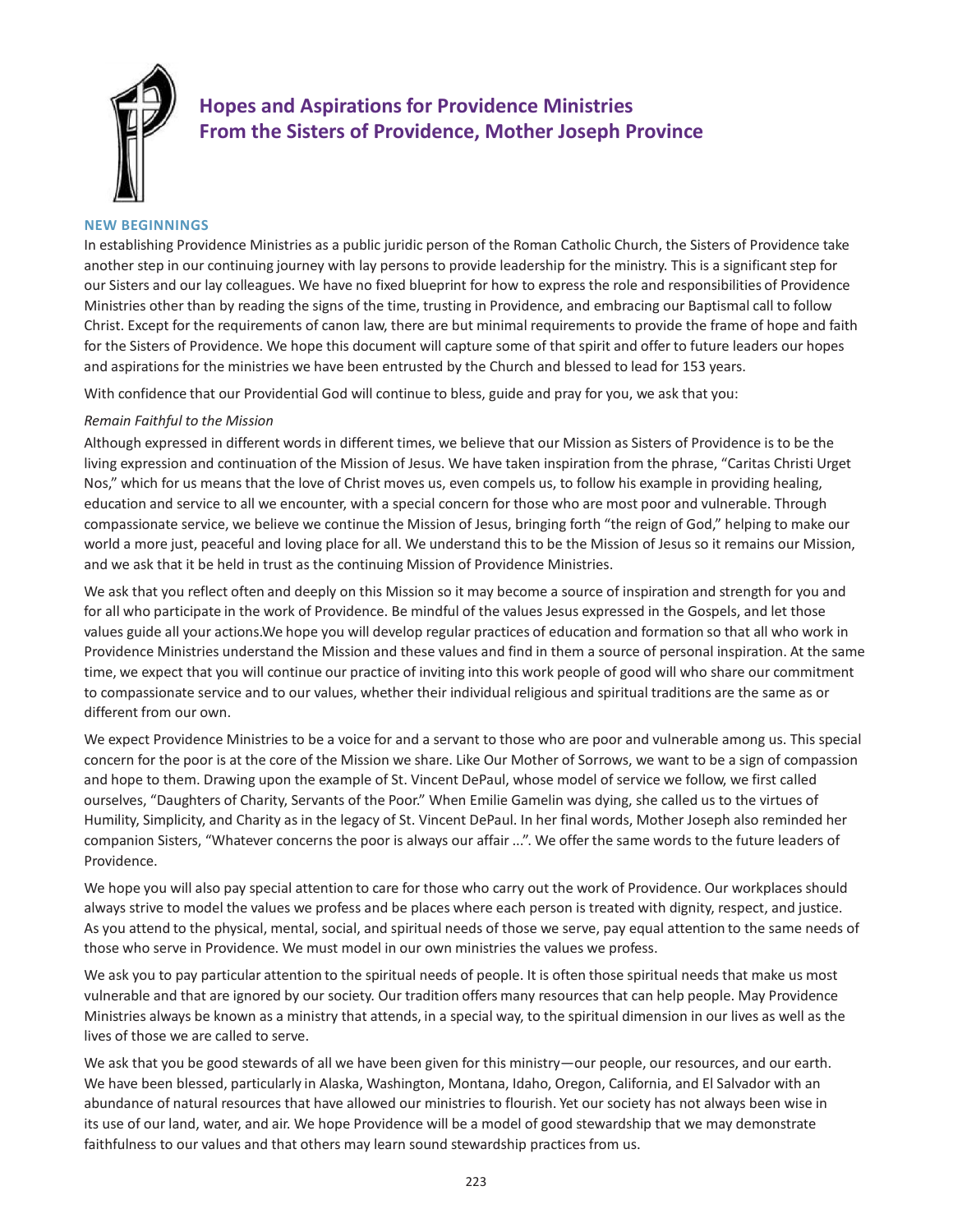

## **Hopes and Aspirations for Providence Ministries From the Sisters of Providence, Mother Joseph Province**

#### **NEW BEGINNINGS**

In establishing Providence Ministries as a public juridic person of the Roman Catholic Church, the Sisters of Providence take another step in our continuing journey with lay persons to provide leadership for the ministry. This is a significant step for our Sisters and our lay colleagues. We have no fixed blueprint for how to express the role and responsibilities of Providence Ministries other than by reading the signs of the time, trusting in Providence, and embracing our Baptismal call to follow Christ. Except for the requirements of canon law, there are but minimal requirements to provide the frame of hope and faith for the Sisters of Providence. We hope this document will capture some of that spirit and offer to future leaders our hopes and aspirations for the ministries we have been entrusted by the Church and blessed to lead for 153 years.

With confidence that our Providential God will continue to bless, guide and pray for you, we ask that you:

#### *Remain Faithful to the Mission*

Although expressed in different words in different times, we believe that our Mission as Sisters of Providence is to be the living expression and continuation of the Mission of Jesus. We have taken inspiration from the phrase, "Caritas Christi Urget Nos," which for us means that the love of Christ moves us, even compels us, to follow his example in providing healing, education and service to all we encounter, with a special concern for those who are most poor and vulnerable. Through compassionate service, we believe we continue the Mission of Jesus, bringing forth "the reign of God," helping to make our world a more just, peaceful and loving place for all. We understand this to be the Mission of Jesus so it remains our Mission, and we ask that it be held in trust as the continuing Mission of Providence Ministries.

We ask that you reflect often and deeply on this Mission so it may become a source of inspiration and strength for you and for all who participate in the work of Providence. Be mindful of the values Jesus expressed in the Gospels, and let those values guide all your actions.We hope you will develop regular practices of education and formation so that all who work in Providence Ministries understand the Mission and these values and find in them a source of personal inspiration. At the same time, we expect that you will continue our practice of inviting into this work people of good will who share our commitment to compassionate service and to our values, whether their individual religious and spiritual traditions are the same as or different from our own.

We expect Providence Ministries to be a voice for and a servant to those who are poor and vulnerable among us. This special concern for the poor is at the core of the Mission we share. Like Our Mother of Sorrows, we want to be a sign of compassion and hope to them. Drawing upon the example of St. Vincent DePaul, whose model of service we follow, we first called ourselves, "Daughters of Charity, Servants of the Poor." When Emilie Gamelin was dying, she called us to the virtues of Humility, Simplicity, and Charity as in the legacy of St. Vincent DePaul. In her final words, Mother Joseph also reminded her companion Sisters, "Whatever concerns the poor is always our affair ...". We offer the same words to the future leaders of Providence.

We hope you will also pay special attention to care for those who carry out the work of Providence. Our workplaces should always strive to model the values we profess and be places where each person is treated with dignity, respect, and justice. As you attend to the physical, mental, social, and spiritual needs of those we serve, pay equal attention to the same needs of those who serve in Providence. We must model in our own ministries the values we profess.

We ask you to pay particular attention to the spiritual needs of people. It is often those spiritual needs that make us most vulnerable and that are ignored by our society. Our tradition offers many resources that can help people. May Providence Ministries always be known as a ministry that attends, in a special way, to the spiritual dimension in our lives as well as the lives of those we are called to serve.

We ask that you be good stewards of all we have been given for this ministry—our people, our resources, and our earth. We have been blessed, particularly in Alaska, Washington, Montana, Idaho, Oregon, California, and El Salvador with an abundance of natural resources that have allowed our ministries to flourish. Yet our society has not always been wise in its use of our land, water, and air. We hope Providence will be a model of good stewardship that we may demonstrate faithfulness to our values and that others may learn sound stewardship practices from us.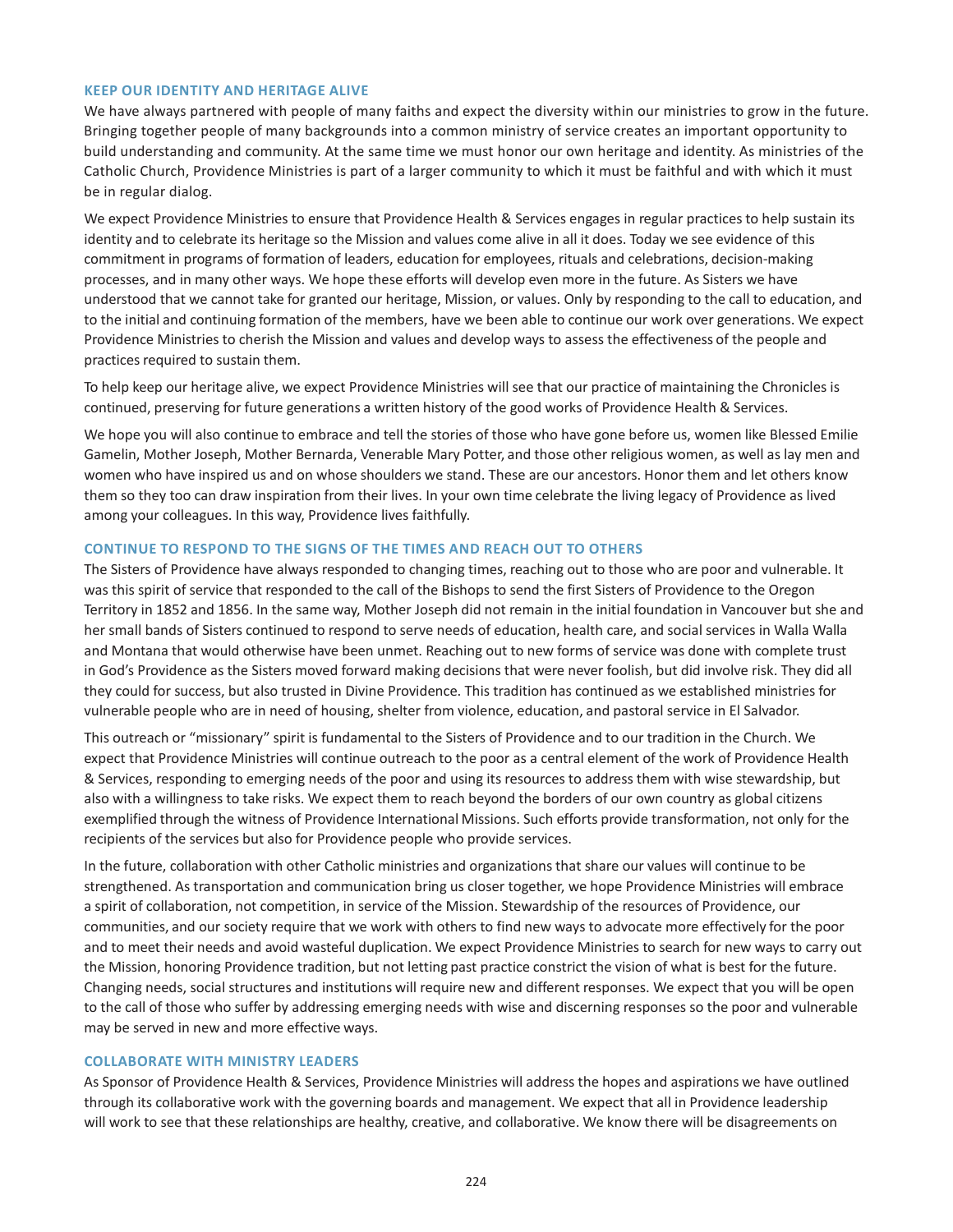#### **KEEP OUR IDENTITY AND HERITAGE ALIVE**

We have always partnered with people of many faiths and expect the diversity within our ministries to grow in the future. Bringing together people of many backgrounds into a common ministry of service creates an important opportunity to build understanding and community. At the same time we must honor our own heritage and identity. As ministries of the Catholic Church, Providence Ministries is part of a larger community to which it must be faithful and with which it must be in regular dialog.

We expect Providence Ministries to ensure that Providence Health & Services engages in regular practices to help sustain its identity and to celebrate its heritage so the Mission and values come alive in all it does. Today we see evidence of this commitment in programs of formation of leaders, education for employees, rituals and celebrations, decision-making processes, and in many other ways. We hope these efforts will develop even more in the future. As Sisters we have understood that we cannot take for granted our heritage, Mission, or values. Only by responding to the call to education, and to the initial and continuing formation of the members, have we been able to continue our work over generations. We expect Providence Ministries to cherish the Mission and values and develop ways to assess the effectiveness of the people and practices required to sustain them.

To help keep our heritage alive, we expect Providence Ministries will see that our practice of maintaining the Chronicles is continued, preserving for future generations a written history of the good works of Providence Health & Services.

We hope you will also continue to embrace and tell the stories of those who have gone before us, women like Blessed Emilie Gamelin, Mother Joseph, Mother Bernarda, Venerable Mary Potter, and those other religious women, as well as lay men and women who have inspired us and on whose shoulders we stand. These are our ancestors. Honor them and let others know them so they too can draw inspiration from their lives. In your own time celebrate the living legacy of Providence as lived among your colleagues. In this way, Providence lives faithfully.

#### **CONTINUE TO RESPOND TO THE SIGNS OF THE TIMES AND REACH OUT TO OTHERS**

The Sisters of Providence have always responded to changing times, reaching out to those who are poor and vulnerable. It was this spirit of service that responded to the call of the Bishops to send the first Sisters of Providence to the Oregon Territory in 1852 and 1856. In the same way, Mother Joseph did not remain in the initial foundation in Vancouver but she and her small bands of Sisters continued to respond to serve needs of education, health care, and social services in Walla Walla and Montana that would otherwise have been unmet. Reaching out to new forms of service was done with complete trust in God's Providence as the Sisters moved forward making decisions that were never foolish, but did involve risk. They did all they could for success, but also trusted in Divine Providence. This tradition has continued as we established ministries for vulnerable people who are in need of housing, shelter from violence, education, and pastoral service in El Salvador.

This outreach or "missionary" spirit is fundamental to the Sisters of Providence and to our tradition in the Church. We expect that Providence Ministries will continue outreach to the poor as a central element of the work of Providence Health & Services, responding to emerging needs of the poor and using its resources to address them with wise stewardship, but also with a willingness to take risks. We expect them to reach beyond the borders of our own country as global citizens exemplified through the witness of Providence International Missions. Such efforts provide transformation, not only for the recipients of the services but also for Providence people who provide services.

In the future, collaboration with other Catholic ministries and organizations that share our values will continue to be strengthened. As transportation and communication bring us closer together, we hope Providence Ministries will embrace a spirit of collaboration, not competition, in service of the Mission. Stewardship of the resources of Providence, our communities, and our society require that we work with others to find new ways to advocate more effectively for the poor and to meet their needs and avoid wasteful duplication. We expect Providence Ministries to search for new ways to carry out the Mission, honoring Providence tradition, but not letting past practice constrict the vision of what is best for the future. Changing needs, social structures and institutions will require new and different responses. We expect that you will be open to the call of those who suffer by addressing emerging needs with wise and discerning responses so the poor and vulnerable may be served in new and more effective ways.

#### **COLLABORATE WITH MINISTRY LEADERS**

As Sponsor of Providence Health & Services, Providence Ministries will address the hopes and aspirations we have outlined through its collaborative work with the governing boards and management. We expect that all in Providence leadership will work to see that these relationships are healthy, creative, and collaborative. We know there will be disagreements on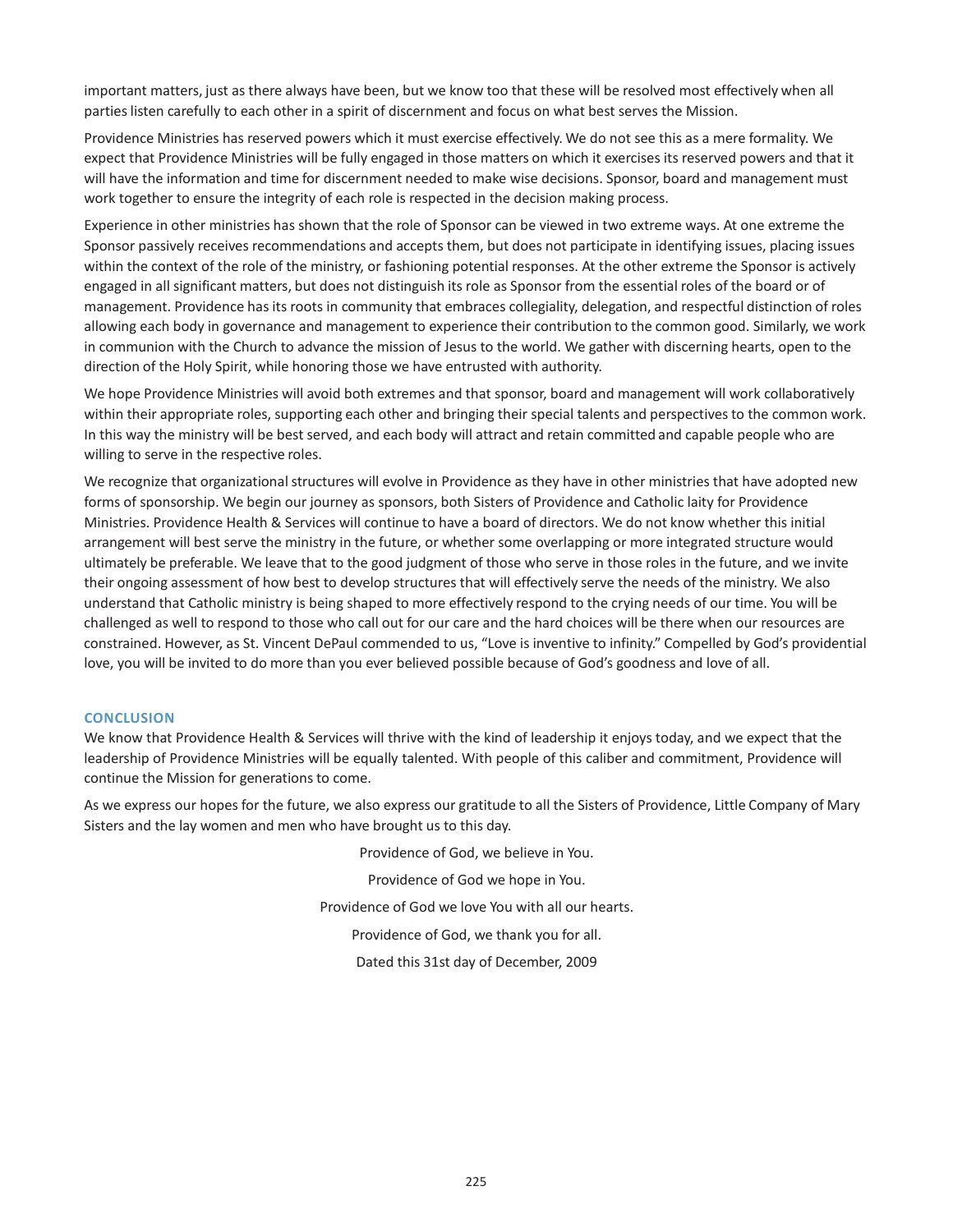important matters, just as there always have been, but we know too that these will be resolved most effectively when all partieslisten carefully to each other in a spirit of discernment and focus on what best serves the Mission.

Providence Ministries has reserved powers which it must exercise effectively. We do not see this as a mere formality. We expect that Providence Ministries will be fully engaged in those matters on which it exercises its reserved powers and that it will have the information and time for discernment needed to make wise decisions. Sponsor, board and management must work together to ensure the integrity of each role is respected in the decision making process.

Experience in other ministries has shown that the role of Sponsor can be viewed in two extreme ways. At one extreme the Sponsor passively receives recommendations and accepts them, but does not participate in identifying issues, placing issues within the context of the role of the ministry, or fashioning potential responses. At the other extreme the Sponsor is actively engaged in all significant matters, but does not distinguish its role as Sponsor from the essential roles of the board or of management. Providence has its roots in community that embraces collegiality, delegation, and respectful distinction of roles allowing each body in governance and management to experience their contribution to the common good. Similarly, we work in communion with the Church to advance the mission of Jesus to the world. We gather with discerning hearts, open to the direction of the Holy Spirit, while honoring those we have entrusted with authority.

We hope Providence Ministries will avoid both extremes and that sponsor, board and management will work collaboratively within their appropriate roles, supporting each other and bringing their special talents and perspectives to the common work. In this way the ministry will be best served, and each body will attract and retain committed and capable people who are willing to serve in the respective roles.

We recognize that organizational structures will evolve in Providence as they have in other ministries that have adopted new forms of sponsorship. We begin our journey as sponsors, both Sisters of Providence and Catholic laity for Providence Ministries. Providence Health & Services will continue to have a board of directors. We do not know whether this initial arrangement will best serve the ministry in the future, or whether some overlapping or more integrated structure would ultimately be preferable. We leave that to the good judgment of those who serve in those roles in the future, and we invite their ongoing assessment of how best to develop structures that will effectively serve the needs of the ministry. We also understand that Catholic ministry is being shaped to more effectively respond to the crying needs of our time. You will be challenged as well to respond to those who call out for our care and the hard choices will be there when our resources are constrained. However, as St. Vincent DePaul commended to us, "Love is inventive to infinity." Compelled by God's providential love, you will be invited to do more than you ever believed possible because of God's goodness and love of all.

#### **CONCLUSION**

We know that Providence Health & Services will thrive with the kind of leadership it enjoys today, and we expect that the leadership of Providence Ministries will be equally talented. With people of this caliber and commitment, Providence will continue the Mission for generations to come.

As we express our hopes for the future, we also express our gratitude to all the Sisters of Providence, Little Company of Mary Sisters and the lay women and men who have brought us to this day.

> Providence of God, we believe in You. Providence of God we hope in You. Providence of God we love You with all our hearts. Providence of God, we thank you for all. Dated this 31st day of December, 2009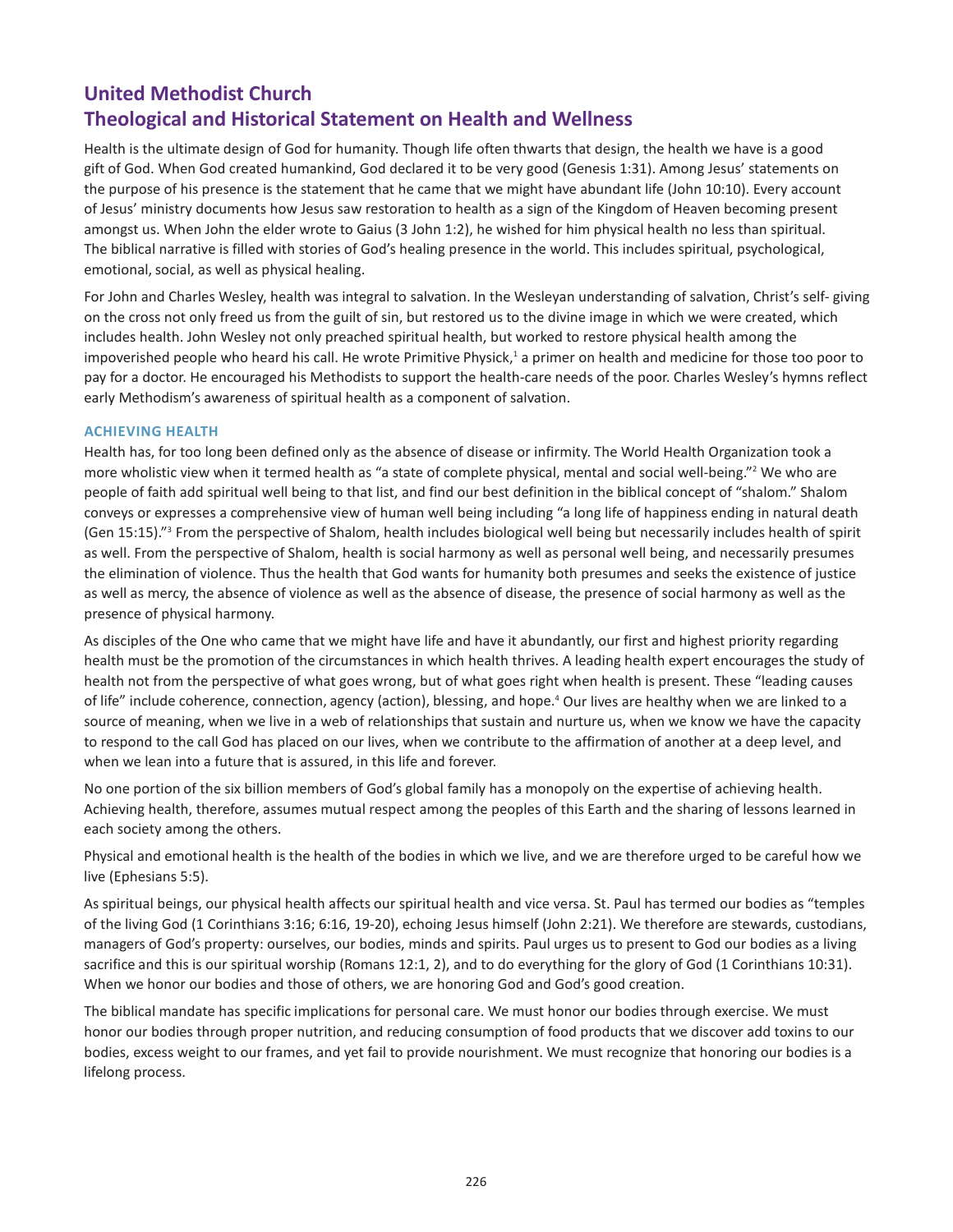## **United Methodist Church Theological and Historical Statement on Health and Wellness**

Health is the ultimate design of God for humanity. Though life often thwarts that design, the health we have is a good gift of God. When God created humankind, God declared it to be very good (Genesis 1:31). Among Jesus' statements on the purpose of his presence is the statement that he came that we might have abundant life (John 10:10). Every account of Jesus' ministry documents how Jesus saw restoration to health as a sign of the Kingdom of Heaven becoming present amongst us. When John the elder wrote to Gaius (3 John 1:2), he wished for him physical health no less than spiritual. The biblical narrative is filled with stories of God's healing presence in the world. This includes spiritual, psychological, emotional, social, as well as physical healing.

For John and Charles Wesley, health was integral to salvation. In the Wesleyan understanding of salvation, Christ's self- giving on the cross not only freed us from the guilt of sin, but restored us to the divine image in which we were created, which includes health. John Wesley not only preached spiritual health, but worked to restore physical health among the impoverished people who heard his call. He wrote Primitive Physick, $1$  a primer on health and medicine for those too poor to pay for a doctor. He encouraged his Methodists to support the health-care needs of the poor. Charles Wesley's hymns reflect early Methodism's awareness of spiritual health as a component of salvation.

#### **ACHIEVING HEALTH**

Health has, for too long been defined only as the absence of disease or infirmity. The World Health Organization took a more wholistic view when it termed health as "a state of complete physical, mental and social well-being."<sup>2</sup> We who are people of faith add spiritual well being to that list, and find our best definition in the biblical concept of "shalom." Shalom conveys or expresses a comprehensive view of human well being including "a long life of happiness ending in natural death (Gen 15:15)."3 From the perspective of Shalom, health includes biological well being but necessarily includes health of spirit as well. From the perspective of Shalom, health is social harmony as well as personal well being, and necessarily presumes the elimination of violence. Thus the health that God wants for humanity both presumes and seeks the existence of justice as well as mercy, the absence of violence as well as the absence of disease, the presence of social harmony as well as the presence of physical harmony.

As disciples of the One who came that we might have life and have it abundantly, our first and highest priority regarding health must be the promotion of the circumstances in which health thrives. A leading health expert encourages the study of health not from the perspective of what goes wrong, but of what goes right when health is present. These "leading causes of life" include coherence, connection, agency (action), blessing, and hope.4 Our lives are healthy when we are linked to a source of meaning, when we live in a web of relationships that sustain and nurture us, when we know we have the capacity to respond to the call God has placed on our lives, when we contribute to the affirmation of another at a deep level, and when we lean into a future that is assured, in this life and forever.

No one portion of the six billion members of God's global family has a monopoly on the expertise of achieving health. Achieving health, therefore, assumes mutual respect among the peoples of this Earth and the sharing of lessons learned in each society among the others.

Physical and emotional health is the health of the bodies in which we live, and we are therefore urged to be careful how we live (Ephesians 5:5).

As spiritual beings, our physical health affects our spiritual health and vice versa. St. Paul has termed our bodies as "temples of the living God (1 Corinthians 3:16; 6:16, 19-20), echoing Jesus himself (John 2:21). We therefore are stewards, custodians, managers of God's property: ourselves, our bodies, minds and spirits. Paul urges us to present to God our bodies as a living sacrifice and this is our spiritual worship (Romans 12:1, 2), and to do everything for the glory of God (1 Corinthians 10:31). When we honor our bodies and those of others, we are honoring God and God's good creation.

The biblical mandate has specific implications for personal care. We must honor our bodies through exercise. We must honor our bodies through proper nutrition, and reducing consumption of food products that we discover add toxins to our bodies, excess weight to our frames, and yet fail to provide nourishment. We must recognize that honoring our bodies is a lifelong process.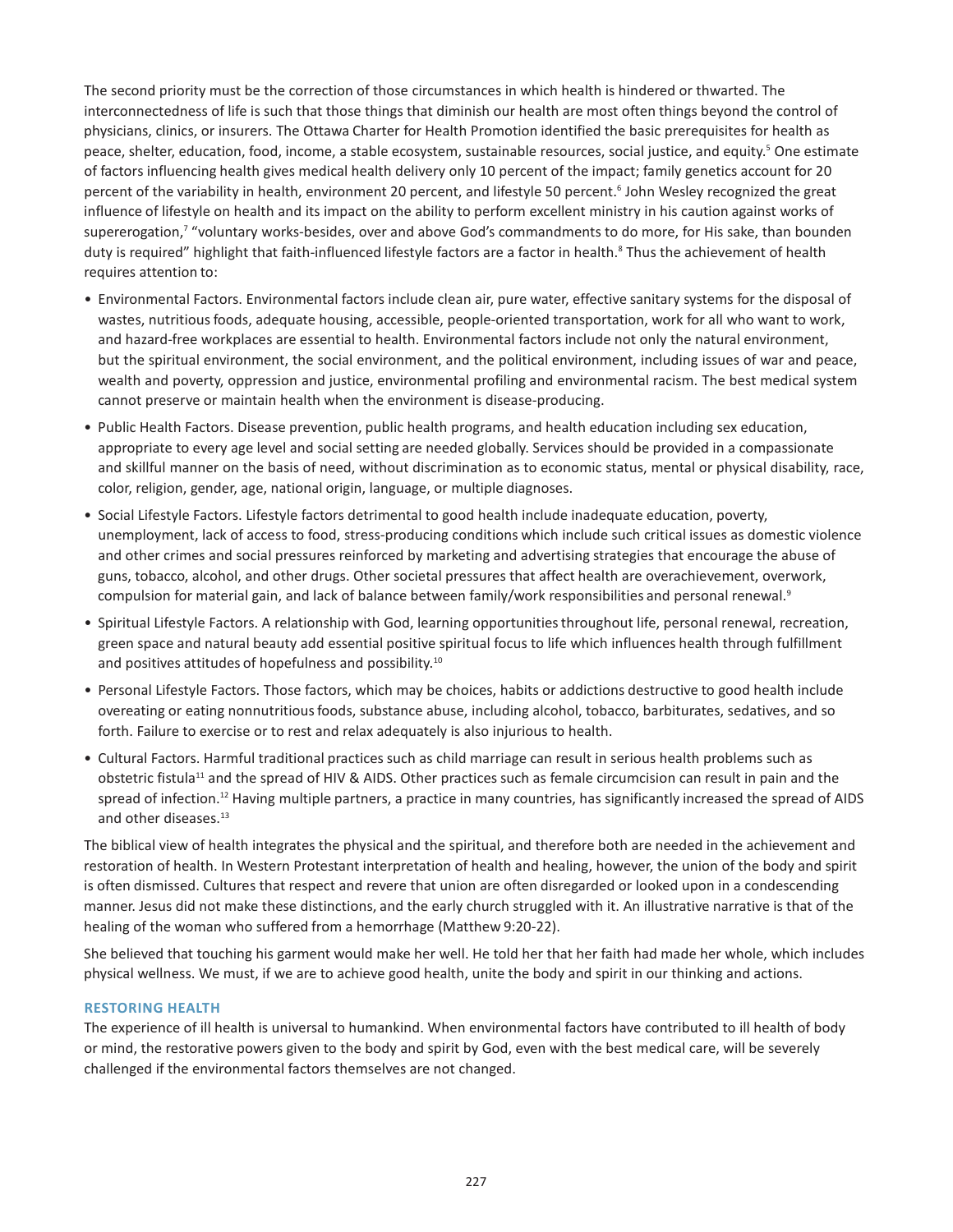The second priority must be the correction of those circumstances in which health is hindered or thwarted. The interconnectedness of life is such that those things that diminish our health are most often things beyond the control of physicians, clinics, or insurers. The Ottawa Charter for Health Promotion identified the basic prerequisites for health as peace, shelter, education, food, income, a stable ecosystem, sustainable resources, social justice, and equity.<sup>5</sup> One estimate of factors influencing health gives medical health delivery only 10 percent of the impact; family genetics account for 20 percent of the variability in health, environment 20 percent, and lifestyle 50 percent.<sup>6</sup> John Wesley recognized the great influence of lifestyle on health and its impact on the ability to perform excellent ministry in his caution against works of supererogation,7 "voluntary works-besides, over and above God's commandments to do more, for His sake, than bounden duty is required" highlight that faith-influenced lifestyle factors are a factor in health.<sup>8</sup> Thus the achievement of health requires attention to:

- Environmental Factors. Environmental factors include clean air, pure water, effective sanitary systems for the disposal of wastes, nutritious foods, adequate housing, accessible, people-oriented transportation, work for all who want to work, and hazard-free workplaces are essential to health. Environmental factors include not only the natural environment, but the spiritual environment, the social environment, and the political environment, including issues of war and peace, wealth and poverty, oppression and justice, environmental profiling and environmental racism. The best medical system cannot preserve or maintain health when the environment is disease-producing.
- Public Health Factors. Disease prevention, public health programs, and health education including sex education, appropriate to every age level and social setting are needed globally. Services should be provided in a compassionate and skillful manner on the basis of need, without discrimination as to economic status, mental or physical disability, race, color, religion, gender, age, national origin, language, or multiple diagnoses.
- Social Lifestyle Factors. Lifestyle factors detrimental to good health include inadequate education, poverty, unemployment, lack of access to food, stress-producing conditions which include such critical issues as domestic violence and other crimes and social pressures reinforced by marketing and advertising strategies that encourage the abuse of guns, tobacco, alcohol, and other drugs. Other societal pressures that affect health are overachievement, overwork, compulsion for material gain, and lack of balance between family/work responsibilities and personal renewal.<sup>9</sup>
- Spiritual Lifestyle Factors. A relationship with God, learning opportunitiesthroughout life, personal renewal, recreation, green space and natural beauty add essential positive spiritual focus to life which influences health through fulfillment and positives attitudes of hopefulness and possibility.<sup>10</sup>
- Personal Lifestyle Factors. Those factors, which may be choices, habits or addictions destructive to good health include overeating or eating nonnutritiousfoods, substance abuse, including alcohol, tobacco, barbiturates, sedatives, and so forth. Failure to exercise or to rest and relax adequately is also injurious to health.
- Cultural Factors. Harmful traditional practices such as child marriage can result in serious health problems such as obstetric fistula<sup>11</sup> and the spread of HIV & AIDS. Other practices such as female circumcision can result in pain and the spread of infection.<sup>12</sup> Having multiple partners, a practice in many countries, has significantly increased the spread of AIDS and other diseases.<sup>13</sup>

The biblical view of health integrates the physical and the spiritual, and therefore both are needed in the achievement and restoration of health. In Western Protestant interpretation of health and healing, however, the union of the body and spirit is often dismissed. Cultures that respect and revere that union are often disregarded or looked upon in a condescending manner. Jesus did not make these distinctions, and the early church struggled with it. An illustrative narrative is that of the healing of the woman who suffered from a hemorrhage (Matthew 9:20-22).

She believed that touching his garment would make her well. He told her that her faith had made her whole, which includes physical wellness. We must, if we are to achieve good health, unite the body and spirit in our thinking and actions.

#### **RESTORING HEALTH**

The experience of ill health is universal to humankind. When environmental factors have contributed to ill health of body or mind, the restorative powers given to the body and spirit by God, even with the best medical care, will be severely challenged if the environmental factors themselves are not changed.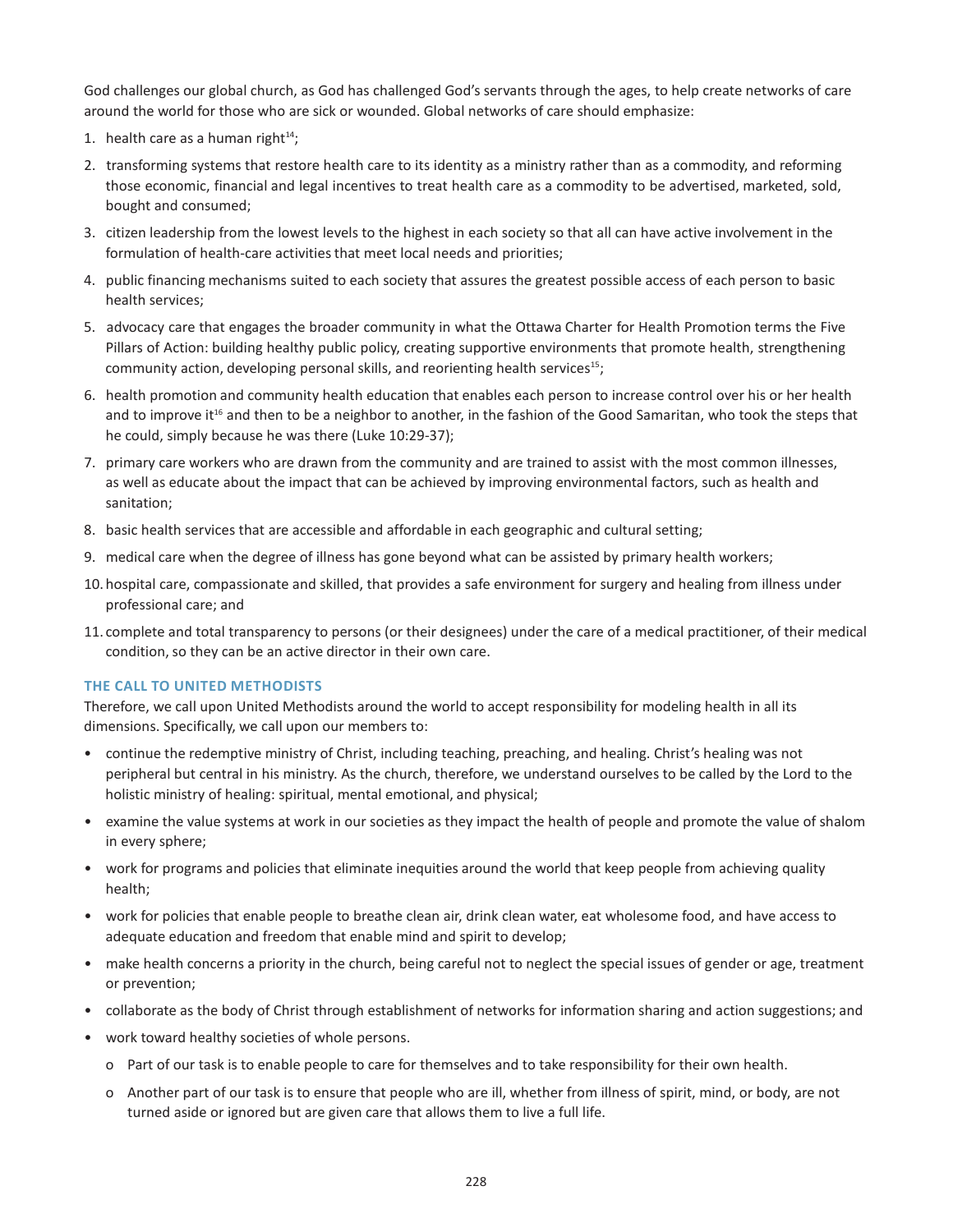God challenges our global church, as God has challenged God's servants through the ages, to help create networks of care around the world for those who are sick or wounded. Global networks of care should emphasize:

- 1. health care as a human right<sup>14</sup>;
- 2. transforming systems that restore health care to its identity as a ministry rather than as a commodity, and reforming those economic, financial and legal incentives to treat health care as a commodity to be advertised, marketed, sold, bought and consumed;
- 3. citizen leadership from the lowest levels to the highest in each society so that all can have active involvement in the formulation of health-care activities that meet local needs and priorities;
- 4. public financing mechanisms suited to each society that assures the greatest possible access of each person to basic health services;
- 5. advocacy care that engages the broader community in what the Ottawa Charter for Health Promotion terms the Five Pillars of Action: building healthy public policy, creating supportive environments that promote health, strengthening community action, developing personal skills, and reorienting health services<sup>15</sup>;
- 6. health promotion and community health education that enables each person to increase control over his or her health and to improve it<sup>16</sup> and then to be a neighbor to another, in the fashion of the Good Samaritan, who took the steps that he could, simply because he was there (Luke 10:29-37);
- 7. primary care workers who are drawn from the community and are trained to assist with the most common illnesses, as well as educate about the impact that can be achieved by improving environmental factors, such as health and sanitation;
- 8. basic health services that are accessible and affordable in each geographic and cultural setting;
- 9. medical care when the degree of illness has gone beyond what can be assisted by primary health workers;
- 10. hospital care, compassionate and skilled, that provides a safe environment for surgery and healing from illness under professional care; and
- 11. complete and total transparency to persons (or their designees) under the care of a medical practitioner, of their medical condition, so they can be an active director in their own care.

#### **THE CALL TO UNITED METHODISTS**

Therefore, we call upon United Methodists around the world to accept responsibility for modeling health in all its dimensions. Specifically, we call upon our members to:

- continue the redemptive ministry of Christ, including teaching, preaching, and healing. Christ's healing was not peripheral but central in his ministry. As the church, therefore, we understand ourselves to be called by the Lord to the holistic ministry of healing: spiritual, mental emotional, and physical;
- examine the value systems at work in our societies as they impact the health of people and promote the value of shalom in every sphere;
- work for programs and policies that eliminate inequities around the world that keep people from achieving quality health;
- work for policies that enable people to breathe clean air, drink clean water, eat wholesome food, and have access to adequate education and freedom that enable mind and spirit to develop;
- make health concerns a priority in the church, being careful not to neglect the special issues of gender or age, treatment or prevention;
- collaborate as the body of Christ through establishment of networks for information sharing and action suggestions; and
- work toward healthy societies of whole persons.
	- o Part of our task is to enable people to care for themselves and to take responsibility for their own health.
	- o Another part of our task is to ensure that people who are ill, whether from illness of spirit, mind, or body, are not turned aside or ignored but are given care that allows them to live a full life.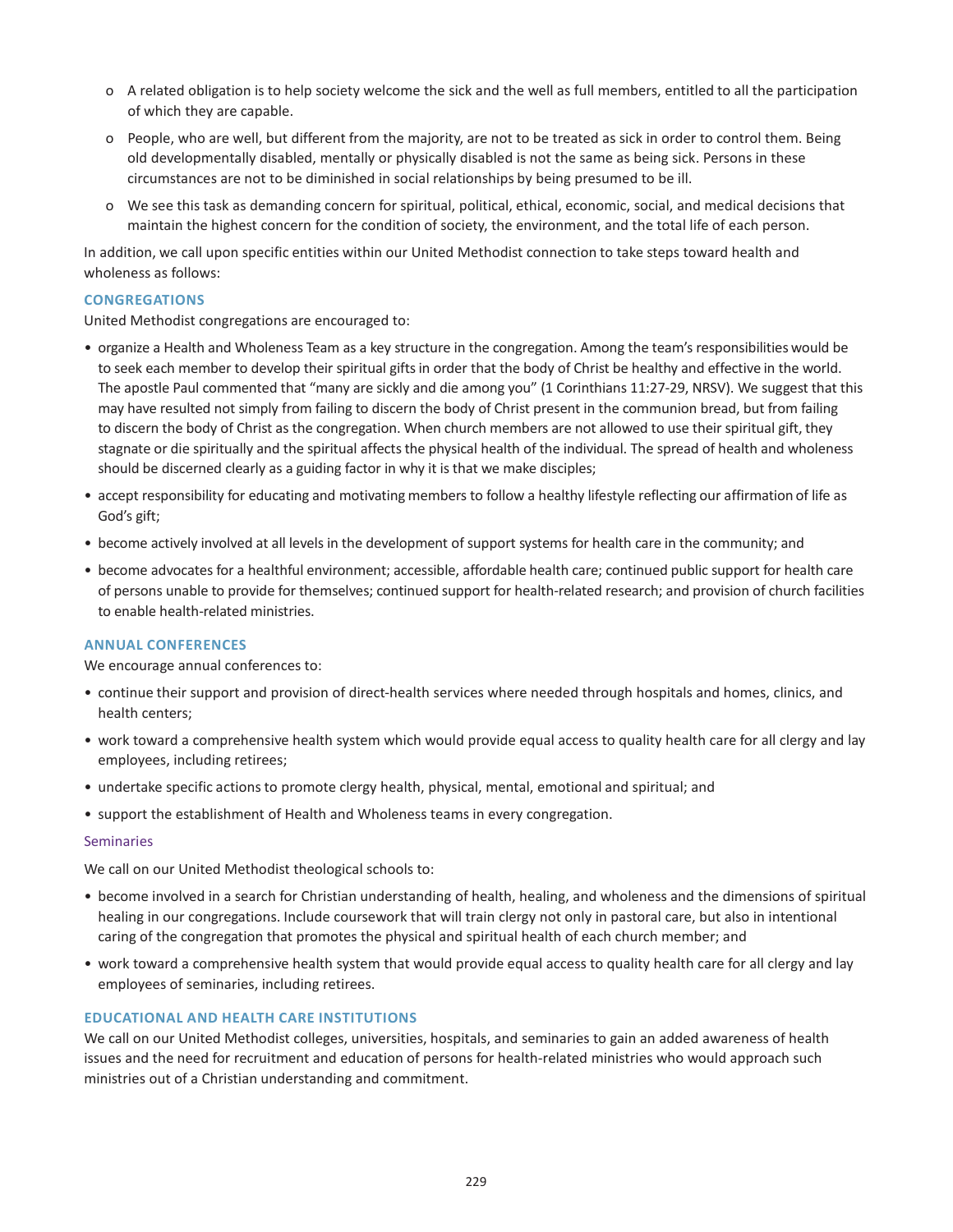- o A related obligation is to help society welcome the sick and the well as full members, entitled to all the participation of which they are capable.
- o People, who are well, but different from the majority, are not to be treated as sick in order to control them. Being old developmentally disabled, mentally or physically disabled is not the same as being sick. Persons in these circumstances are not to be diminished in social relationships by being presumed to be ill.
- o We see this task as demanding concern for spiritual, political, ethical, economic, social, and medical decisions that maintain the highest concern for the condition of society, the environment, and the total life of each person.

In addition, we call upon specific entities within our United Methodist connection to take steps toward health and wholeness as follows:

#### **CONGREGATIONS**

United Methodist congregations are encouraged to:

- organize a Health and Wholeness Team as a key structure in the congregation. Among the team's responsibilities would be to seek each member to develop their spiritual giftsin order that the body of Christ be healthy and effective in the world. The apostle Paul commented that "many are sickly and die among you" (1 Corinthians 11:27-29, NRSV). We suggest that this may have resulted not simply from failing to discern the body of Christ present in the communion bread, but from failing to discern the body of Christ as the congregation. When church members are not allowed to use their spiritual gift, they stagnate or die spiritually and the spiritual affects the physical health of the individual. The spread of health and wholeness should be discerned clearly as a guiding factor in why it is that we make disciples;
- accept responsibility for educating and motivating members to follow a healthy lifestyle reflecting our affirmation of life as God's gift;
- become actively involved at all levels in the development of support systems for health care in the community; and
- become advocates for a healthful environment; accessible, affordable health care; continued public support for health care of persons unable to provide for themselves; continued support for health-related research; and provision of church facilities to enable health-related ministries.

#### **ANNUAL CONFERENCES**

We encourage annual conferences to:

- continue their support and provision of direct-health services where needed through hospitals and homes, clinics, and health centers;
- work toward a comprehensive health system which would provide equal access to quality health care for all clergy and lay employees, including retirees;
- undertake specific actions to promote clergy health, physical, mental, emotional and spiritual; and
- support the establishment of Health and Wholeness teams in every congregation.

#### Seminaries

We call on our United Methodist theological schools to:

- become involved in a search for Christian understanding of health, healing, and wholeness and the dimensions of spiritual healing in our congregations. Include coursework that will train clergy not only in pastoral care, but also in intentional caring of the congregation that promotes the physical and spiritual health of each church member; and
- work toward a comprehensive health system that would provide equal access to quality health care for all clergy and lay employees of seminaries, including retirees.

#### **EDUCATIONAL AND HEALTH CARE INSTITUTIONS**

We call on our United Methodist colleges, universities, hospitals, and seminaries to gain an added awareness of health issues and the need for recruitment and education of persons for health-related ministries who would approach such ministries out of a Christian understanding and commitment.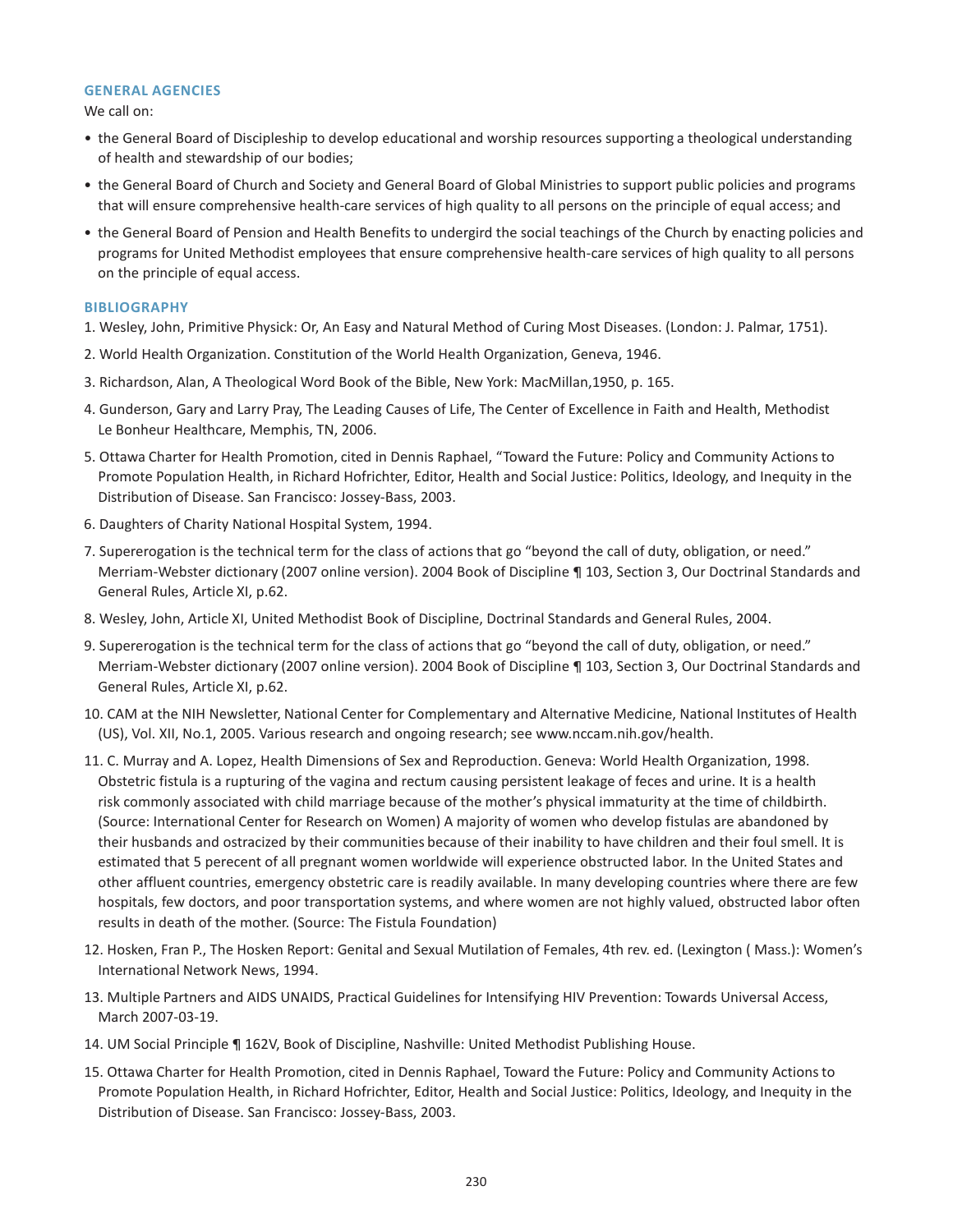#### **GENERAL AGENCIES**

We call on:

- the General Board of Discipleship to develop educational and worship resources supporting a theological understanding of health and stewardship of our bodies;
- the General Board of Church and Society and General Board of Global Ministries to support public policies and programs that will ensure comprehensive health-care services of high quality to all persons on the principle of equal access; and
- the General Board of Pension and Health Benefits to undergird the social teachings of the Church by enacting policies and programs for United Methodist employees that ensure comprehensive health-care services of high quality to all persons on the principle of equal access.

#### **BIBLIOGRAPHY**

- 1. Wesley, John, Primitive Physick: Or, An Easy and Natural Method of Curing Most Diseases. (London: J. Palmar, 1751).
- 2. World Health Organization. Constitution of the World Health Organization, Geneva, 1946.
- 3. Richardson, Alan, A Theological Word Book of the Bible, New York: MacMillan,1950, p. 165.
- 4. Gunderson, Gary and Larry Pray, The Leading Causes of Life, The Center of Excellence in Faith and Health, Methodist Le Bonheur Healthcare, Memphis, TN, 2006.
- 5. Ottawa Charter for Health Promotion, cited in Dennis Raphael, "Toward the Future: Policy and Community Actionsto Promote Population Health, in Richard Hofrichter, Editor, Health and Social Justice: Politics, Ideology, and Inequity in the Distribution of Disease. San Francisco: Jossey-Bass, 2003.
- 6. Daughters of Charity National Hospital System, 1994.
- 7. Supererogation is the technical term for the class of actions that go "beyond the call of duty, obligation, or need." Merriam-Webster dictionary (2007 online version). 2004 Book of Discipline ¶ 103, Section 3, Our Doctrinal Standards and General Rules, Article XI, p.62.
- 8. Wesley, John, Article XI, United Methodist Book of Discipline, Doctrinal Standards and General Rules, 2004.
- 9. Supererogation is the technical term for the class of actions that go "beyond the call of duty, obligation, or need." Merriam-Webster dictionary (2007 online version). 2004 Book of Discipline ¶ 103, Section 3, Our Doctrinal Standards and General Rules, Article XI, p.62.
- 10. CAM at the NIH Newsletter, National Center for Complementary and Alternative Medicine, National Institutes of Health (US), Vol. XII, No.1, 2005. Various research and ongoing resea[rch; see www.nccam.nih.gov/health.](http://www.nccam.nih.gov/health)
- 11. C. Murray and A. Lopez, Health Dimensions of Sex and Reproduction. Geneva: World Health Organization, 1998. Obstetric fistula is a rupturing of the vagina and rectum causing persistent leakage of feces and urine. It is a health risk commonly associated with child marriage because of the mother's physical immaturity at the time of childbirth. (Source: International Center for Research on Women) A majority of women who develop fistulas are abandoned by their husbands and ostracized by their communities because of their inability to have children and their foul smell. It is estimated that 5 perecent of all pregnant women worldwide will experience obstructed labor. In the United States and other affluent countries, emergency obstetric care is readily available. In many developing countries where there are few hospitals, few doctors, and poor transportation systems, and where women are not highly valued, obstructed labor often results in death of the mother. (Source: The Fistula Foundation)
- 12. Hosken, Fran P., The Hosken Report: Genital and Sexual Mutilation of Females, 4th rev. ed. (Lexington ( Mass.): Women's International Network News, 1994.
- 13. Multiple Partners and AIDS UNAIDS, Practical Guidelines for Intensifying HIV Prevention: Towards Universal Access, March 2007-03-19.
- 14. UM Social Principle ¶ 162V, Book of Discipline, Nashville: United Methodist Publishing House.
- 15. Ottawa Charter for Health Promotion, cited in Dennis Raphael, Toward the Future: Policy and Community Actionsto Promote Population Health, in Richard Hofrichter, Editor, Health and Social Justice: Politics, Ideology, and Inequity in the Distribution of Disease. San Francisco: Jossey-Bass, 2003.